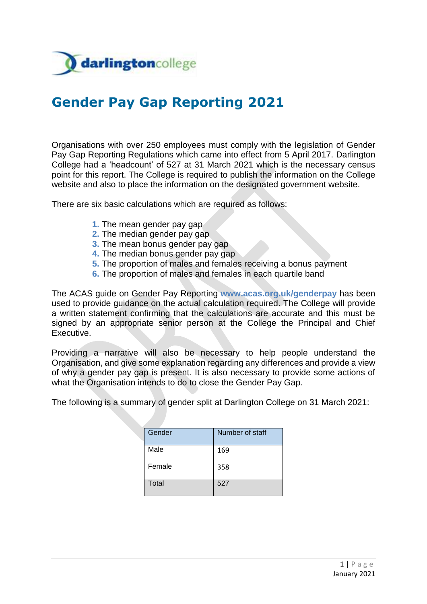

# **Gender Pay Gap Reporting 2021**

Organisations with over 250 employees must comply with the legislation of Gender Pay Gap Reporting Regulations which came into effect from 5 April 2017. Darlington College had a 'headcount' of 527 at 31 March 2021 which is the necessary census point for this report. The College is required to publish the information on the College website and also to place the information on the designated government website.

There are six basic calculations which are required as follows:

- **1.** The mean gender pay gap
- **2.** The median gender pay gap
- **3.** The mean bonus gender pay gap
- **4.** The median bonus gender pay gap
- **5.** The proportion of males and females receiving a bonus payment
- **6.** The proportion of males and females in each quartile band

The ACAS guide on Gender Pay Reporting **www.acas.org.uk/genderpay** has been used to provide guidance on the actual calculation required. The College will provide a written statement confirming that the calculations are accurate and this must be signed by an appropriate senior person at the College the Principal and Chief Executive.

Providing a narrative will also be necessary to help people understand the Organisation, and give some explanation regarding any differences and provide a view of why a gender pay gap is present. It is also necessary to provide some actions of what the Organisation intends to do to close the Gender Pay Gap.

The following is a summary of gender split at Darlington College on 31 March 2021:

| Gender | Number of staff |
|--------|-----------------|
| Male   | 169             |
| Female | 358             |
| Total  | 527             |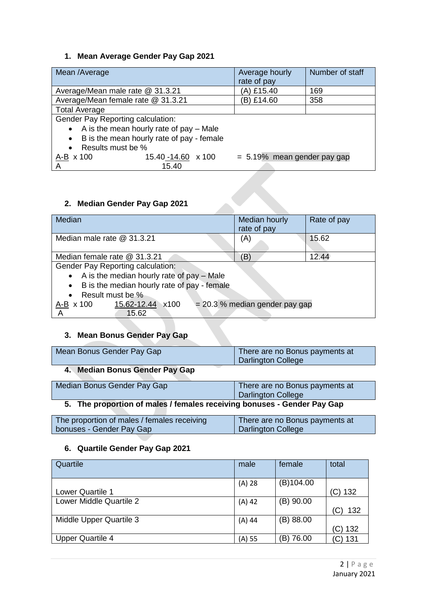### **1. Mean Average Gender Pay Gap 2021**

| Mean /Average                                          | Average hourly<br>rate of pay  | Number of staff |  |  |  |
|--------------------------------------------------------|--------------------------------|-----------------|--|--|--|
| Average/Mean male rate @ 31.3.21                       | (A) £15.40                     | 169             |  |  |  |
| Average/Mean female rate @ 31.3.21                     | B) £14.60<br>358               |                 |  |  |  |
| <b>Total Average</b>                                   |                                |                 |  |  |  |
| Gender Pay Reporting calculation:                      |                                |                 |  |  |  |
| A is the mean hourly rate of pay – Male<br>$\bullet$   |                                |                 |  |  |  |
| B is the mean hourly rate of pay - female<br>$\bullet$ |                                |                 |  |  |  |
| Results must be %                                      |                                |                 |  |  |  |
| 15.40 -14.60 x 100<br>$A-B \times 100$                 | $= 5.19\%$ mean gender pay gap |                 |  |  |  |
| 15.40<br>A                                             |                                |                 |  |  |  |
| 2. Median Gender Pay Gap 2021                          |                                |                 |  |  |  |

### **2. Median Gender Pay Gap 2021**

| Median                                                                      | <b>Median hourly</b><br>rate of pay | Rate of pay |  |  |  |
|-----------------------------------------------------------------------------|-------------------------------------|-------------|--|--|--|
| Median male rate @ 31.3.21                                                  | (A)                                 | 15.62       |  |  |  |
| Median female rate @ 31.3.21                                                | (B)                                 | 12.44       |  |  |  |
| Gender Pay Reporting calculation:                                           |                                     |             |  |  |  |
| $\bullet$ A is the median hourly rate of pay - Male                         |                                     |             |  |  |  |
| • B is the median hourly rate of pay - female                               |                                     |             |  |  |  |
| • Result must be %                                                          |                                     |             |  |  |  |
| = 20.3 % median gender pay gap<br>$A-B \times 100$ 15.62-12.44 $\times 100$ |                                     |             |  |  |  |
| 15.62<br>A                                                                  |                                     |             |  |  |  |

## **3. Mean Bonus Gender Pay Gap**

| Mean Bonus Gender Pay Gap | There are no Bonus payments at<br><b>Darlington College</b> |
|---------------------------|-------------------------------------------------------------|
|                           |                                                             |

### **4. Median Bonus Gender Pay Gap**

| Median Bonus Gender Pay Gap                                             | There are no Bonus payments at |  |  |  |
|-------------------------------------------------------------------------|--------------------------------|--|--|--|
|                                                                         | <b>Darlington College</b>      |  |  |  |
| 5. The proportion of males / females receiving bonuses - Gender Pay Gap |                                |  |  |  |
|                                                                         |                                |  |  |  |

| The proportion of males / females receiving | There are no Bonus payments at |
|---------------------------------------------|--------------------------------|
| bonuses - Gender Pay Gap                    | Darlington College             |

### **6. Quartile Gender Pay Gap 2021**

| Quartile                | male     | female      | total      |
|-------------------------|----------|-------------|------------|
|                         | $(A)$ 28 | (B)104.00   |            |
| <b>Lower Quartile 1</b> |          |             | (C) 132    |
| Lower Middle Quartile 2 | $(A)$ 42 | (B) 90.00   |            |
|                         |          |             | 132<br>(C) |
| Middle Upper Quartile 3 | $(A)$ 44 | (B) 88.00   |            |
|                         |          |             | (C) 132    |
| <b>Upper Quartile 4</b> | $(A)$ 55 | 76.00<br>B) | (C) 131    |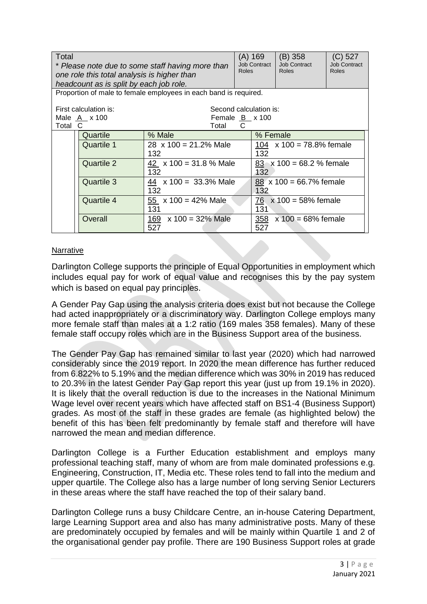| Total<br>* Please note due to some staff having more than<br>one role this total analysis is higher than<br>headcount as is split by each job role. |                                                          | <b>Roles</b>                                                                | (A) 169<br><b>Job Contract</b> | $(B)$ 358<br><b>Job Contract</b><br>Roles | $(C)$ 527<br><b>Job Contract</b><br>Roles |  |
|-----------------------------------------------------------------------------------------------------------------------------------------------------|----------------------------------------------------------|-----------------------------------------------------------------------------|--------------------------------|-------------------------------------------|-------------------------------------------|--|
|                                                                                                                                                     |                                                          | Proportion of male to female employees in each band is required.            |                                |                                           |                                           |  |
| First calculation is:<br>Male <u>A</u> x 100<br>Female $B_{x}$ x 100<br>Total C<br>Total                                                            |                                                          |                                                                             | C                              | Second calculation is:                    |                                           |  |
|                                                                                                                                                     | Quartile                                                 | % Male                                                                      |                                | % Female                                  |                                           |  |
|                                                                                                                                                     | <b>Quartile 1</b><br>28 $\times$ 100 = 21.2% Male<br>132 |                                                                             |                                | 104 $\times$ 100 = 78.8% female<br>132    |                                           |  |
|                                                                                                                                                     | Quartile 2                                               | 42 $\times$ 100 = 31.8 % Male<br>132<br>44 $\times$ 100 = 33.3% Male<br>132 |                                | 132                                       | $83 \times 100 = 68.2$ % female           |  |
|                                                                                                                                                     | Quartile 3                                               |                                                                             |                                | 132                                       | $88 \times 100 = 66.7\%$ female           |  |
|                                                                                                                                                     | Quartile 4                                               | 55 $\times$ 100 = 42% Male<br>131                                           |                                | 131                                       | 76 $x 100 = 58%$ female                   |  |
|                                                                                                                                                     | Overall                                                  | 169 $x 100 = 32\%$ Male<br>527                                              |                                | 527                                       | 358 $x 100 = 68%$ female                  |  |

#### **Narrative**

Darlington College supports the principle of Equal Opportunities in employment which includes equal pay for work of equal value and recognises this by the pay system which is based on equal pay principles.

A Gender Pay Gap using the analysis criteria does exist but not because the College had acted inappropriately or a discriminatory way. Darlington College employs many more female staff than males at a 1:2 ratio (169 males 358 females). Many of these female staff occupy roles which are in the Business Support area of the business.

The Gender Pay Gap has remained similar to last year (2020) which had narrowed considerably since the 2019 report. In 2020 the mean difference has further reduced from 6.822% to 5.19% and the median difference which was 30% in 2019 has reduced to 20.3% in the latest Gender Pay Gap report this year (just up from 19.1% in 2020). It is likely that the overall reduction is due to the increases in the National Minimum Wage level over recent years which have affected staff on BS1-4 (Business Support) grades. As most of the staff in these grades are female (as highlighted below) the benefit of this has been felt predominantly by female staff and therefore will have narrowed the mean and median difference.

Darlington College is a Further Education establishment and employs many professional teaching staff, many of whom are from male dominated professions e.g. Engineering, Construction, IT, Media etc. These roles tend to fall into the medium and upper quartile. The College also has a large number of long serving Senior Lecturers in these areas where the staff have reached the top of their salary band.

Darlington College runs a busy Childcare Centre, an in-house Catering Department, large Learning Support area and also has many administrative posts. Many of these are predominately occupied by females and will be mainly within Quartile 1 and 2 of the organisational gender pay profile. There are 190 Business Support roles at grade